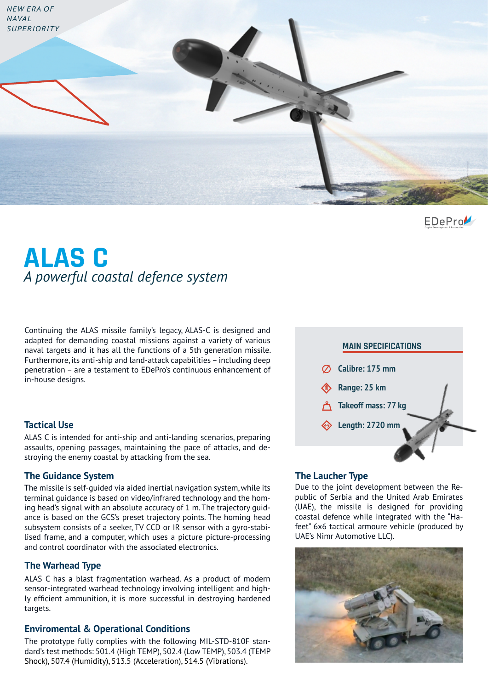

EDePro

# **ALAS C** *A powerful coastal defence system*

Continuing the ALAS missile family's legacy, ALAS-C is designed and adapted for demanding coastal missions against a variety of various naval targets and it has all the functions of a 5th generation missile. Furthermore, its anti-ship and land-attack capabilities – including deep penetration – are a testament to EDePro's continuous enhancement of in-house designs.

### **Tactical Use**

ALAS C is intended for anti-ship and anti-landing scenarios, preparing assaults, opening passages, maintaining the pace of attacks, and destroying the enemy coastal by attacking from the sea.

### **The Guidance System The Laucher Type**

The missile is self-guided via aided inertial navigation system, while its terminal guidance is based on video/infrared technology and the homing head's signal with an absolute accuracy of 1 m. The trajectory guidance is based on the GCS's preset trajectory points. The homing head subsystem consists of a seeker, TV CCD or IR sensor with a gyro-stabilised frame, and a computer, which uses a picture picture-processing and control coordinator with the associated electronics.

### **The Warhead Type**

ALAS C has a blast fragmentation warhead. As a product of modern sensor-integrated warhead technology involving intelligent and highly efficient ammunition, it is more successful in destroying hardened targets.

### **Enviromental & Operational Conditions**

The prototype fully complies with the following MIL-STD-810F standard's test methods: 501.4 (High TEMP), 502.4 (Low TEMP), 503.4 (TEMP Shock), 507.4 (Humidity), 513.5 (Acceleration), 514.5 (Vibrations).



Due to the joint development between the Republic of Serbia and the United Arab Emirates (UAE), the missile is designed for providing coastal defence while integrated with the "Hafeet" 6x6 tactical armoure vehicle (produced by UAE's Nimr Automotive LLC).